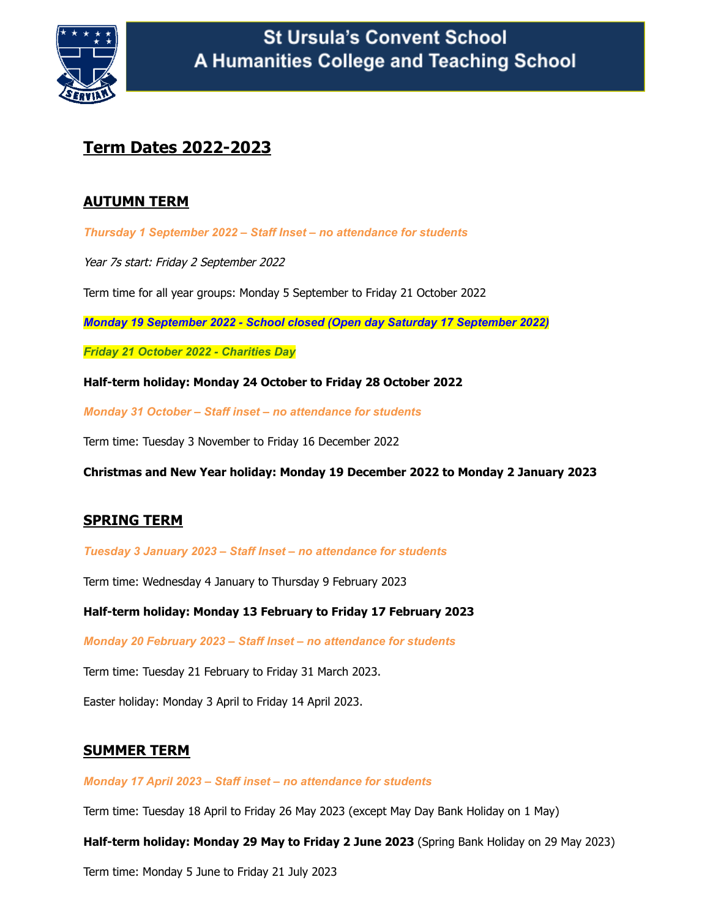

## **Term Dates 2022-2023**

## **AUTUMN TERM**

*Thursday 1 September 2022 – Staff Inset – no attendance for students*

Year 7s start: Friday 2 September 2022

Term time for all year groups: Monday 5 September to Friday 21 October 2022

*Monday 19 September 2022 - School closed (Open day Saturday 17 September 2022)*

*Friday 21 October 2022 - Charities Day*

**Half-term holiday: Monday 24 October to Friday 28 October 2022**

*Monday 31 October – Staff inset – no attendance for students*

Term time: Tuesday 3 November to Friday 16 December 2022

**Christmas and New Year holiday: Monday 19 December 2022 to Monday 2 January 2023**

## **SPRING TERM**

*Tuesday 3 January 2023 – Staff Inset – no attendance for students*

Term time: Wednesday 4 January to Thursday 9 February 2023

**Half-term holiday: Monday 13 February to Friday 17 February 2023**

*Monday 20 February 2023 – Staff Inset – no attendance for students*

Term time: Tuesday 21 February to Friday 31 March 2023.

Easter holiday: Monday 3 April to Friday 14 April 2023.

## **SUMMER TERM**

*Monday 17 April 2023 – Staff inset – no attendance for students*

Term time: Tuesday 18 April to Friday 26 May 2023 (except May Day Bank Holiday on 1 May)

**Half-term holiday: Monday 29 May to Friday 2 June 2023** (Spring Bank Holiday on 29 May 2023)

Term time: Monday 5 June to Friday 21 July 2023